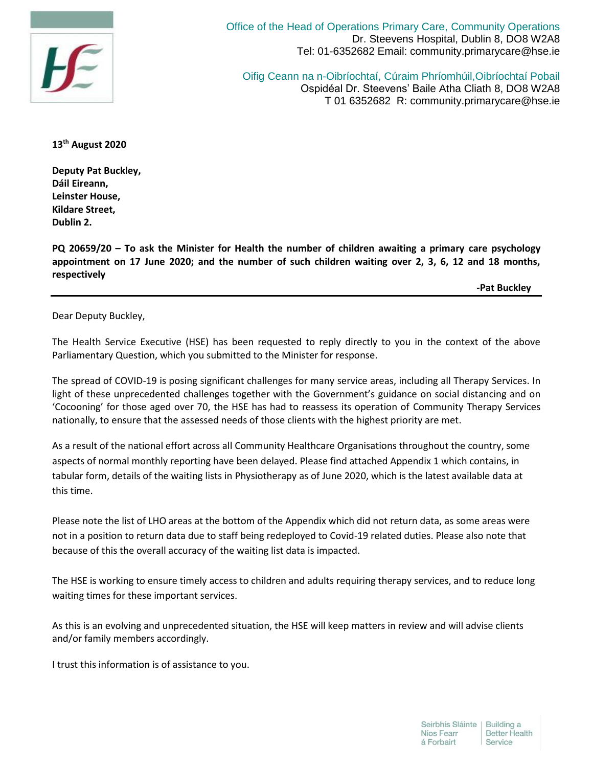

Office of the Head of Operations Primary Care, Community Operations Dr. Steevens Hospital, Dublin 8, DO8 W2A8 Tel: 01-6352682 Email: community.primarycare@hse.ie

Oifig Ceann na n-Oibríochtaí, Cúraim Phríomhúil,Oibríochtaí Pobail Ospidéal Dr. Steevens' Baile Atha Cliath 8, DO8 W2A8 T 01 6352682 R: community.primarycare@hse.ie

**13th August 2020**

**Deputy Pat Buckley, Dáil Eireann, Leinster House, Kildare Street, Dublin 2.**

**PQ 20659/20 – To ask the Minister for Health the number of children awaiting a primary care psychology appointment on 17 June 2020; and the number of such children waiting over 2, 3, 6, 12 and 18 months, respectively**

 **-Pat Buckley**

Dear Deputy Buckley,

The Health Service Executive (HSE) has been requested to reply directly to you in the context of the above Parliamentary Question, which you submitted to the Minister for response.

The spread of COVID-19 is posing significant challenges for many service areas, including all Therapy Services. In light of these unprecedented challenges together with the Government's guidance on social distancing and on 'Cocooning' for those aged over 70, the HSE has had to reassess its operation of Community Therapy Services nationally, to ensure that the assessed needs of those clients with the highest priority are met.

As a result of the national effort across all Community Healthcare Organisations throughout the country, some aspects of normal monthly reporting have been delayed. Please find attached Appendix 1 which contains, in tabular form, details of the waiting lists in Physiotherapy as of June 2020, which is the latest available data at this time.

Please note the list of LHO areas at the bottom of the Appendix which did not return data, as some areas were not in a position to return data due to staff being redeployed to Covid-19 related duties. Please also note that because of this the overall accuracy of the waiting list data is impacted.

The HSE is working to ensure timely access to children and adults requiring therapy services, and to reduce long waiting times for these important services.

As this is an evolving and unprecedented situation, the HSE will keep matters in review and will advise clients and/or family members accordingly.

I trust this information is of assistance to you.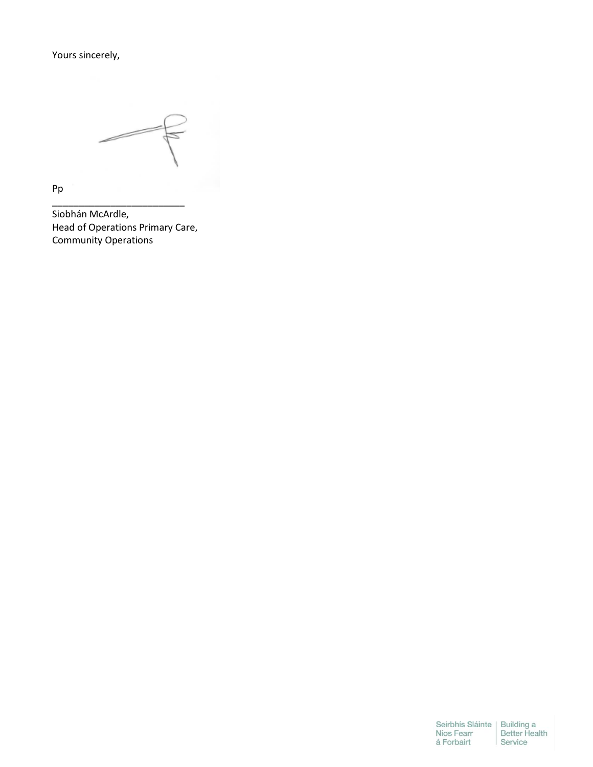Yours sincerely,

Pp

Siobhán McArdle, Head of Operations Primary Care, Community Operations

\_\_\_\_\_\_\_\_\_\_\_\_\_\_\_\_\_\_\_\_\_\_\_\_\_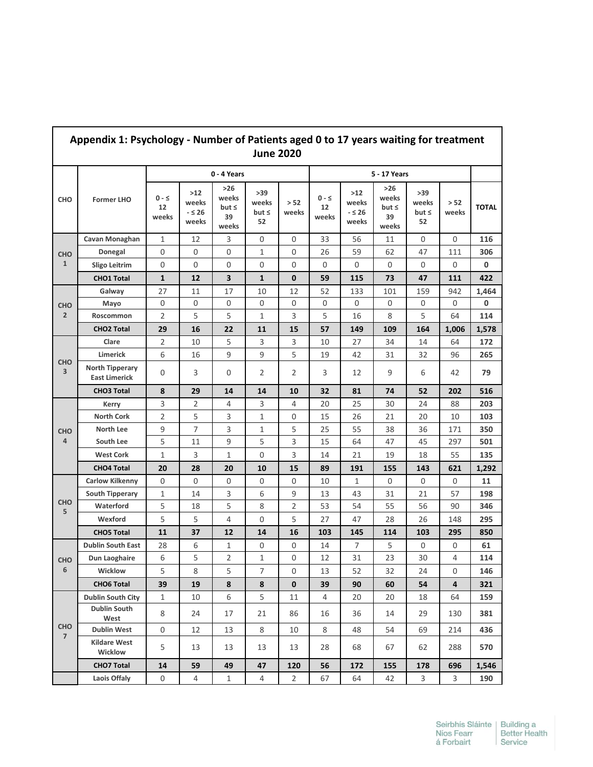| Appendix 1: Psychology - Number of Patients aged 0 to 17 years waiting for treatment<br><b>June 2020</b> |                                                |                           |                                   |                                             |                                  |                |                           |                                 |                                             |                                          |                         |              |
|----------------------------------------------------------------------------------------------------------|------------------------------------------------|---------------------------|-----------------------------------|---------------------------------------------|----------------------------------|----------------|---------------------------|---------------------------------|---------------------------------------------|------------------------------------------|-------------------------|--------------|
|                                                                                                          | <b>Former LHO</b>                              | 0 - 4 Years               |                                   |                                             |                                  |                |                           |                                 |                                             |                                          |                         |              |
| <b>CHO</b>                                                                                               |                                                | $0 - \leq$<br>12<br>weeks | $>12$<br>weeks<br>$-526$<br>weeks | $>26$<br>weeks<br>$but \leq$<br>39<br>weeks | >39<br>weeks<br>but $\leq$<br>52 | > 52<br>weeks  | $0 - \leq$<br>12<br>weeks | >12<br>weeks<br>$-526$<br>weeks | $>26$<br>weeks<br>but $\leq$<br>39<br>weeks | $>39$<br>weeks<br>but <sub>5</sub><br>52 | > 52<br>weeks           | <b>TOTAL</b> |
| <b>CHO</b><br>$\mathbf{1}$                                                                               | Cavan Monaghan                                 | 1                         | 12                                | 3                                           | 0                                | 0              | 33                        | 56                              | 11                                          | 0                                        | 0                       | 116          |
|                                                                                                          | Donegal                                        | 0                         | 0                                 | $\mathbf 0$                                 | 1                                | 0              | 26                        | 59                              | 62                                          | 47                                       | 111                     | 306          |
|                                                                                                          | <b>Sligo Leitrim</b>                           | $\mathbf 0$               | 0                                 | $\mathbf 0$                                 | $\mathbf 0$                      | 0              | 0                         | 0                               | 0                                           | 0                                        | 0                       | 0            |
|                                                                                                          | <b>CHO1 Total</b>                              | 1                         | 12                                | 3                                           | $\mathbf{1}$                     | $\mathbf 0$    | 59                        | 115                             | 73                                          | 47                                       | 111                     | 422          |
| <b>CHO</b><br>$\overline{2}$                                                                             | Galway                                         | 27                        | 11                                | 17                                          | 10                               | 12             | 52                        | 133                             | 101                                         | 159                                      | 942                     | 1,464        |
|                                                                                                          | Mayo                                           | $\mathsf 0$               | $\mathsf 0$                       | $\mathbf 0$                                 | $\mathsf 0$                      | $\mathsf 0$    | 0                         | $\mathsf 0$                     | 0                                           | 0                                        | 0                       | 0            |
|                                                                                                          | Roscommon                                      | $\overline{2}$            | 5                                 | 5                                           | 1                                | 3              | 5                         | 16                              | 8                                           | 5                                        | 64                      | 114          |
|                                                                                                          | <b>CHO2 Total</b>                              | 29                        | 16                                | 22                                          | 11                               | 15             | 57                        | 149                             | 109                                         | 164                                      | 1,006                   | 1,578        |
|                                                                                                          | Clare                                          | 2                         | 10                                | 5                                           | 3                                | 3              | 10                        | 27                              | 34                                          | 14                                       | 64                      | 172          |
|                                                                                                          | Limerick                                       | 6                         | 16                                | 9                                           | 9                                | 5              | 19                        | 42                              | 31                                          | 32                                       | 96                      | 265          |
| <b>CHO</b><br>$\overline{\mathbf{3}}$                                                                    | <b>North Tipperary</b><br><b>East Limerick</b> | 0                         | 3                                 | 0                                           | 2                                | 2              | 3                         | 12                              | 9                                           | 6                                        | 42                      | 79           |
|                                                                                                          | <b>CHO3 Total</b>                              | 8                         | 29                                | 14                                          | 14                               | 10             | 32                        | 81                              | 74                                          | 52                                       | 202                     | 516          |
|                                                                                                          | Kerry                                          | 3                         | 2                                 | $\overline{4}$                              | 3                                | 4              | 20                        | 25                              | 30                                          | 24                                       | 88                      | 203          |
| <b>CHO</b><br>$\overline{4}$                                                                             | <b>North Cork</b>                              | $\overline{2}$            | 5                                 | 3                                           | $\mathbf{1}$                     | $\mathbf 0$    | 15                        | 26                              | 21                                          | 20                                       | 10                      | 103          |
|                                                                                                          | <b>North Lee</b>                               | 9                         | 7                                 | 3                                           | 1                                | 5              | 25                        | 55                              | 38                                          | 36                                       | 171                     | 350          |
|                                                                                                          | South Lee                                      | 5                         | 11                                | 9                                           | 5                                | 3              | 15                        | 64                              | 47                                          | 45                                       | 297                     | 501          |
|                                                                                                          | <b>West Cork</b>                               | 1                         | 3                                 | $\mathbf{1}$                                | $\mathbf 0$                      | 3              | 14                        | 21                              | 19                                          | 18                                       | 55                      | 135          |
|                                                                                                          | <b>CHO4 Total</b>                              | 20                        | 28                                | 20                                          | 10                               | 15             | 89                        | 191                             | 155                                         | 143                                      | 621                     | 1,292        |
|                                                                                                          | <b>Carlow Kilkenny</b>                         | 0                         | 0                                 | 0                                           | 0                                | 0              | 10                        | 1                               | 0                                           | 0                                        | 0                       | 11           |
| <b>CHO</b><br>5                                                                                          | <b>South Tipperary</b>                         | 1                         | 14                                | 3                                           | 6                                | 9              | 13                        | 43                              | 31                                          | 21                                       | 57                      | 198          |
|                                                                                                          | Waterford                                      | 5                         | 18                                | 5                                           | 8                                | 2              | 53                        | 54                              | 55                                          | 56                                       | 90                      | 346          |
|                                                                                                          | Wexford                                        | 5                         | 5                                 | $\overline{4}$                              | $\mathbf 0$                      | 5              | 27                        | 47                              | 28                                          | 26                                       | 148                     | 295          |
|                                                                                                          | <b>CHO5 Total</b>                              | 11                        | 37                                | 12                                          | 14                               | 16             | 103                       | 145                             | 114                                         | 103                                      | 295                     | 850          |
|                                                                                                          | <b>Dublin South East</b>                       | 28                        | 6                                 | 1                                           | 0                                | 0              | 14                        | 7                               | 5                                           | 0                                        | 0                       | 61           |
| ${\sf CHO}$                                                                                              | <b>Dun Laoghaire</b>                           | 6                         | 5                                 | $\overline{2}$                              | 1                                | 0              | 12                        | 31                              | 23                                          | 30                                       | 4                       | 114          |
| 6                                                                                                        | Wicklow                                        | 5                         | 8                                 | 5                                           | $\overline{7}$                   | 0              | 13                        | 52                              | 32                                          | 24                                       | 0                       | 146          |
|                                                                                                          | <b>CHO6 Total</b>                              | 39                        | 19                                | $\pmb{8}$                                   | 8                                | $\mathbf 0$    | 39                        | 90                              | 60                                          | 54                                       | $\overline{\mathbf{4}}$ | 321          |
|                                                                                                          | <b>Dublin South City</b>                       | 1                         | 10                                | 6                                           | 5                                | 11             | 4                         | 20                              | 20                                          | 18                                       | 64                      | 159          |
| <b>CHO</b><br>$7\overline{ }$                                                                            | <b>Dublin South</b><br>West                    | 8                         | 24                                | 17                                          | 21                               | 86             | 16                        | 36                              | 14                                          | 29                                       | 130                     | 381          |
|                                                                                                          | <b>Dublin West</b>                             | 0                         | 12                                | 13                                          | 8                                | 10             | 8                         | 48                              | 54                                          | 69                                       | 214                     | 436          |
|                                                                                                          | <b>Kildare West</b><br>Wicklow                 | 5                         | 13                                | 13                                          | 13                               | 13             | 28                        | 68                              | 67                                          | 62                                       | 288                     | 570          |
|                                                                                                          | <b>CHO7 Total</b>                              | 14                        | 59                                | 49                                          | 47                               | 120            | 56                        | 172                             | 155                                         | 178                                      | 696                     | 1,546        |
|                                                                                                          | Laois Offaly                                   | 0                         | 4                                 | $\mathbf{1}$                                | 4                                | $\overline{2}$ | 67                        | 64                              | 42                                          | 3                                        | 3                       | 190          |

## **Appendix 1: Psychology - Number of Patients aged 0 to 17 years waiting for treatment**

 $\Gamma$